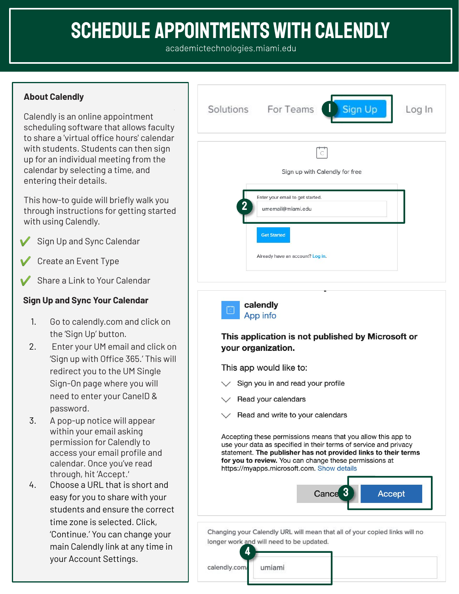# **SCHEDULE APPOINTMENTS WITH CALENDLY**

## **About Calendly**

Calendly is an online appointment scheduling software that allows faculty to share a 'virtual office hours' calendar with students. Students can then sign up for an individual meeting from the calendar by selecting a time, and entering their details.

This how-to guide will briefly walk you through instructions for getting started with using Calendly.

- Sign Up and Sync Calendar
- Create an Event Type
- Share a Link to Your Calendar

## **Sign Up and Sync Your Calendar**

- 1. Go to calendly.com and click on the 'Sign Up' button.
- 2. Enter your UM email and click on 'Sign up with Office 365.' This will redirect you to the UM Single Sign-On page where you will need to enter your CaneID & password.
- 3. A pop-up notice will appear within your email asking permission for Calendly to access your email profile and calendar. Once you've read through, hit 'Accept.
- 4. Choose a URL that is short and easy for you to share with your students and ensure the correct time zone is selected. Click, 'Continue.' You can change your main Calendly link at any time in your Account Settings.





Changing your Calendly URL will mean that all of your copied links will no longer work and will need to be updated.

4

umiami

calendly.com/